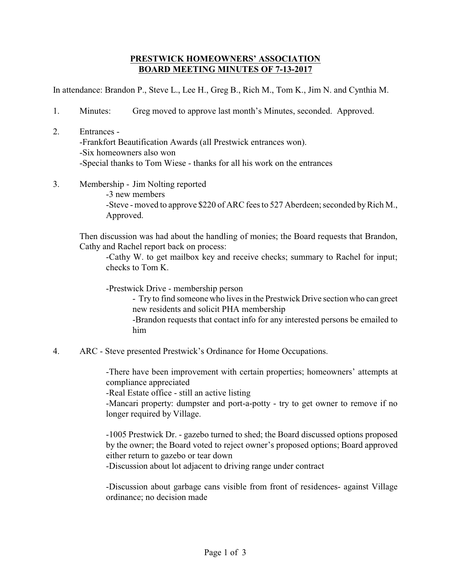## **PRESTWICK HOMEOWNERS' ASSOCIATION BOARD MEETING MINUTES OF 7-13-2017**

In attendance: Brandon P., Steve L., Lee H., Greg B., Rich M., Tom K., Jim N. and Cynthia M.

- 1. Minutes: Greg moved to approve last month's Minutes, seconded. Approved.
- 2. Entrances -Frankfort Beautification Awards (all Prestwick entrances won). -Six homeowners also won -Special thanks to Tom Wiese - thanks for all his work on the entrances
- 3. Membership Jim Nolting reported

-3 new members -Steve - moved to approve \$220 of ARC fees to 527 Aberdeen; seconded by Rich M., Approved.

Then discussion was had about the handling of monies; the Board requests that Brandon, Cathy and Rachel report back on process:

-Cathy W. to get mailbox key and receive checks; summary to Rachel for input; checks to Tom K.

-Prestwick Drive - membership person

- Try to find someone who lives in the Prestwick Drive section who can greet new residents and solicit PHA membership

-Brandon requests that contact info for any interested persons be emailed to him

4. ARC - Steve presented Prestwick's Ordinance for Home Occupations.

-There have been improvement with certain properties; homeowners' attempts at compliance appreciated

-Real Estate office - still an active listing

-Mancari property: dumpster and port-a-potty - try to get owner to remove if no longer required by Village.

-1005 Prestwick Dr. - gazebo turned to shed; the Board discussed options proposed by the owner; the Board voted to reject owner's proposed options; Board approved either return to gazebo or tear down

-Discussion about lot adjacent to driving range under contract

-Discussion about garbage cans visible from front of residences- against Village ordinance; no decision made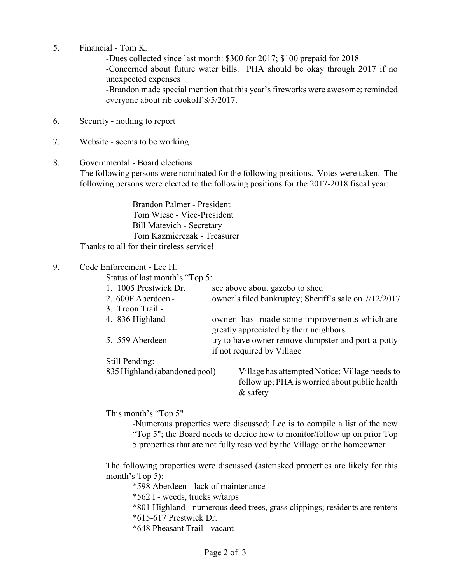5. Financial - Tom K.

-Dues collected since last month: \$300 for 2017; \$100 prepaid for 2018 -Concerned about future water bills. PHA should be okay through 2017 if no unexpected expenses -Brandon made special mention that this year's fireworks were awesome; reminded everyone about rib cookoff 8/5/2017.

- 6. Security nothing to report
- 7. Website seems to be working
- 8. Governmental Board elections The following persons were nominated for the following positions. Votes were taken. The following persons were elected to the following positions for the 2017-2018 fiscal year:

Brandon Palmer - President Tom Wiese - Vice-President Bill Matevich - Secretary Tom Kazmierczak - Treasurer Thanks to all for their tireless service!

## 9. Code Enforcement - Lee H.

Status of last month's "Top 5:

| see above about gazebo to shed<br>owner's filed bankruptcy; Sheriff's sale on 7/12/2017         |
|-------------------------------------------------------------------------------------------------|
|                                                                                                 |
| owner has made some improvements which are<br>greatly appreciated by their neighbors            |
| try to have owner remove dumpster and port-a-potty<br>if not required by Village                |
|                                                                                                 |
| Village has attempted Notice; Village needs to<br>follow up; PHA is worried about public health |
| 835 Highland (abandoned pool)<br>& safety                                                       |

This month's "Top 5"

-Numerous properties were discussed; Lee is to compile a list of the new "Top 5"; the Board needs to decide how to monitor/follow up on prior Top 5 properties that are not fully resolved by the Village or the homeowner

The following properties were discussed (asterisked properties are likely for this month's Top 5):

\*598 Aberdeen - lack of maintenance

\*562 I - weeds, trucks w/tarps

\*801 Highland - numerous deed trees, grass clippings; residents are renters \*615-617 Prestwick Dr.

\*648 Pheasant Trail - vacant